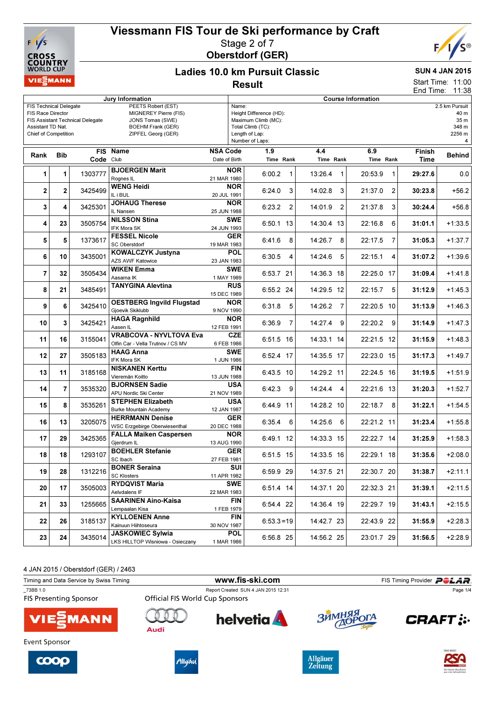



### Ladies 10.0 km Pursuit Classic Result

### SUN 4 JAN 2015

Start Time: 11:00 End Time: 11:38

| Jury Information                                                                                                                                                                                                                                                |                |           |                                                                     |                                                                                                                                                                             | <b>Course Information</b>            |   |                  |                  |   |                |               |  |
|-----------------------------------------------------------------------------------------------------------------------------------------------------------------------------------------------------------------------------------------------------------------|----------------|-----------|---------------------------------------------------------------------|-----------------------------------------------------------------------------------------------------------------------------------------------------------------------------|--------------------------------------|---|------------------|------------------|---|----------------|---------------|--|
| <b>FIS Technical Delegate</b><br>PEETS Robert (EST)<br>MIGNEREY Pierre (FIS)<br>FIS Race Director<br>FIS Assistant Technical Delegate<br>JONS Tomas (SWE)<br>Assistant TD Nat.<br><b>BOEHM Frank (GER)</b><br>ZIPFEL Georg (GER)<br><b>Chief of Competition</b> |                |           |                                                                     | 2.5 km Pursuit<br>Name:<br>Height Difference (HD):<br>40 m<br>Maximum Climb (MC):<br>35 m<br>348 m<br>Total Climb (TC):<br>2256 m<br>Length of Lap:<br>Number of Laps:<br>4 |                                      |   |                  |                  |   |                |               |  |
| Rank                                                                                                                                                                                                                                                            | <b>Bib</b>     | Code Club | FIS Name                                                            | <b>NSA Code</b><br>Date of Birth                                                                                                                                            | 1.9<br>Time Rank                     |   | 4.4<br>Time Rank | 6.9<br>Time Rank |   | Finish<br>Time | <b>Behind</b> |  |
| 1                                                                                                                                                                                                                                                               | 1              | 1303777   | <b>BJOERGEN Marit</b><br>Rognes IL                                  | NOR.<br>21 MAR 1980                                                                                                                                                         | 6:00.2                               | 1 | 13:26.4<br>1     | 20:53.9          | 1 | 29:27.6        | 0.0           |  |
| $\mathbf{2}$                                                                                                                                                                                                                                                    | 2              | 3425499   | <b>WENG Heidi</b><br>IL i BUL                                       | <b>NOR</b><br>20 JUL 1991                                                                                                                                                   | 6:24.0                               | 3 | 14:02.8<br>3     | 21:37.0          | 2 | 30:23.8        | $+56.2$       |  |
| 3                                                                                                                                                                                                                                                               | 4              | 3425301   | <b>JOHAUG Therese</b><br>IL Nansen                                  | <b>NOR</b><br>25 JUN 1988                                                                                                                                                   | 6:23.2                               | 2 | 14:01.9<br>2     | 21:37.8          | 3 | 30:24.4        | $+56.8$       |  |
| 4                                                                                                                                                                                                                                                               | 23             | 3505754   | <b>NILSSON Stina</b><br><b>IFK Mora SK</b>                          | SWE<br>24 JUN 1993                                                                                                                                                          | 6:50.1 13                            |   | 14:30.4 13       | 22:16.8          | 6 | 31:01.1        | $+1:33.5$     |  |
| 5                                                                                                                                                                                                                                                               | 5              | 1373617   | <b>FESSEL Nicole</b><br><b>SC Oberstdorf</b>                        | <b>GER</b><br>19 MAR 1983                                                                                                                                                   | 6:41.6                               | 8 | 14:26.7<br>8     | 22:17.5          | 7 | 31:05.3        | $+1:37.7$     |  |
| 6                                                                                                                                                                                                                                                               | 10             | 3435001   | <b>KOWALCZYK Justyna</b><br>AZS AWF Katowice                        | <b>POL</b><br>23 JAN 1983                                                                                                                                                   | 6:30.5                               | 4 | 14:24.6<br>5     | 22:15.1          | 4 | 31:07.2        | $+1:39.6$     |  |
| $\overline{7}$                                                                                                                                                                                                                                                  | 32             | 3505434   | <b>WIKEN Emma</b><br>Aasarna IK                                     | <b>SWE</b><br>1 MAY 1989                                                                                                                                                    | 6:53.7 21                            |   | 14:36.3 18       | 22:25.0 17       |   | 31:09.4        | $+1:41.8$     |  |
| 8                                                                                                                                                                                                                                                               | 21             | 3485491   | <b>TANYGINA Alevtina</b>                                            | <b>RUS</b><br>15 DEC 1989                                                                                                                                                   | 6:55.2 24                            |   | 14:29.5 12       | 22:15.7          | 5 | 31:12.9        | $+1:45.3$     |  |
| 9                                                                                                                                                                                                                                                               | 6              | 3425410   | <b>OESTBERG Ingvild Flugstad</b><br>Gjoevik Skiklubb                | <b>NOR</b><br>9 NOV 1990                                                                                                                                                    | 6:31.8                               | 5 | 14:26.2<br>7     | 22:20.5 10       |   | 31:13.9        | $+1:46.3$     |  |
| 10                                                                                                                                                                                                                                                              | 3              | 3425421   | <b>HAGA Ragnhild</b><br>Aasen IL                                    | <b>NOR</b><br>12 FEB 1991                                                                                                                                                   | 6:36.9                               | 7 | 14:27.4 9        | 22:20.2          | 9 | 31:14.9        | $+1:47.3$     |  |
| 11                                                                                                                                                                                                                                                              | 16             | 3155041   | <b>VRABCOVA - NYVLTOVA Eva</b><br>Olfin Car - Vella Trutnov / CS MV | <b>CZE</b><br>6 FEB 1986                                                                                                                                                    | 6:51.5 16                            |   | 14:33.1 14       | 22:21.5 12       |   | 31:15.9        | $+1:48.3$     |  |
| 12                                                                                                                                                                                                                                                              | 27             | 3505183   | <b>HAAG Anna</b><br>IFK Mora SK                                     | <b>SWE</b><br>1 JUN 1986                                                                                                                                                    | 6:52.4 17                            |   | 14:35.5 17       | 22:23.0 15       |   | 31:17.3        | $+1:49.7$     |  |
| 13                                                                                                                                                                                                                                                              | 11             | 3185168   | <b>NISKANEN Kerttu</b><br>Vieremän Koitto                           | 13 JUN 1988                                                                                                                                                                 | FIN<br>6:43.5 10                     |   | 14:29.2 11       | 22:24.5 16       |   | 31:19.5        | $+1:51.9$     |  |
| 14                                                                                                                                                                                                                                                              | $\overline{7}$ | 3535320   | <b>BJORNSEN Sadie</b><br>APU Nordic Ski Center                      | USA<br>21 NOV 1989                                                                                                                                                          | 6:42.3                               | 9 | 14:24.4<br>4     | 22:21.6 13       |   | 31:20.3        | $+1:52.7$     |  |
| 15                                                                                                                                                                                                                                                              | 8              | 3535261   | <b>STEPHEN Elizabeth</b><br><b>Burke Mountain Academy</b>           | <b>USA</b><br>12 JAN 1987                                                                                                                                                   | 6:44.9 11                            |   | 14:28.2 10       | 22:18.7          | 8 | 31:22.1        | $+1:54.5$     |  |
| 16                                                                                                                                                                                                                                                              | 13             | 3205075   | <b>HERRMANN Denise</b><br>WSC Erzgebirge Oberwiesenthal             | <b>GER</b><br>20 DEC 1988                                                                                                                                                   | 6:35.4                               | 6 | 14:25.6<br>6     | 22:21.2 11       |   | 31:23.4        | $+1:55.8$     |  |
| 17                                                                                                                                                                                                                                                              | 29             | 3425365   | <b>FALLA Maiken Caspersen</b><br>Gjerdrum IL                        | NOR<br>13 AUG 1990                                                                                                                                                          | 6:49.1 12                            |   | 14:33.3 15       | 22:22.7 14       |   | 31:25.9        | $+1:58.3$     |  |
| 18                                                                                                                                                                                                                                                              | 18             | 1293107   | <b>BOEHLER Stefanie</b><br>SC Ibach                                 | <b>GER</b><br>27 FEB 1981                                                                                                                                                   | 6:51.5 15                            |   | 14:33.5 16       | 22:29.1 18       |   | 31:35.6        | $+2:08.0$     |  |
| 19                                                                                                                                                                                                                                                              | 28             | 1312216   | <b>BONER Seraina</b><br><b>SC Klosters</b>                          | 11 APR 1982                                                                                                                                                                 | $\overline{\text{SUI}}$<br>6:59.9 29 |   | 14:37.5 21       | 22:30.7 20       |   | 31:38.7        | $+2:11.1$     |  |
| 20                                                                                                                                                                                                                                                              | 17             | 3505003   | <b>RYDQVIST Maria</b><br>Aelvdalens IF                              | <b>SWE</b><br>22 MAR 1983                                                                                                                                                   | 6:51.4 14                            |   | 14:37.1 20       | 22:32.3 21       |   | 31:39.1        | $+2:11.5$     |  |
| 21                                                                                                                                                                                                                                                              | 33             | 1255665   | <b>SAARINEN Aino-Kaisa</b><br>Lempaalan Kisa                        | 1 FEB 1979                                                                                                                                                                  | FIN<br>6:54.4 22                     |   | 14:36.4 19       | 22:29.7 19       |   | 31:43.1        | $+2:15.5$     |  |
| 22                                                                                                                                                                                                                                                              | 26             | 3185137   | <b>KYLLOENEN Anne</b><br>Kainuun Hiihtoseura                        | 30 NOV 1987                                                                                                                                                                 | FIN<br>$6:53.3=19$                   |   | 14:42.7 23       | 22:43.9 22       |   | 31:55.9        | $+2:28.3$     |  |
| 23                                                                                                                                                                                                                                                              | 24             | 3435014   | <b>JASKOWIEC Sylwia</b><br>LKS HILLTOP Wisniowa - Osieczany         | <b>POL</b><br>1 MAR 1986                                                                                                                                                    | 6:56.8 25                            |   | 14:56.2 25       | 23:01.7 29       |   | 31:56.5        | $+2:28.9$     |  |

4 JAN 2015 / Oberstdorf (GER) / 2463

| Timing and Data Service by Swiss Timing   |                                 |                                     | FIS Timing Provider <b>POLAR</b> |                           |  |
|-------------------------------------------|---------------------------------|-------------------------------------|----------------------------------|---------------------------|--|
| 73BB 1.0<br><b>FIS Presenting Sponsor</b> | Official FIS World Cup Sponsors | Report Created SUN 4 JAN 2015 12:31 |                                  | Page 1/4                  |  |
| <b>VIE</b> MANN                           | Audi                            | <b>helvetia</b>                     | ЗИМНЯЯ                           | <b>CRAFT:</b>             |  |
| Event Sponsor                             |                                 |                                     |                                  | from the company star for |  |







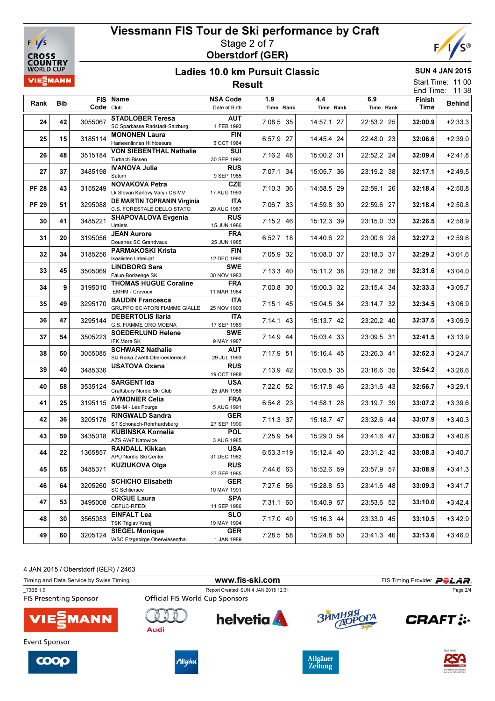



#### Ladies 10.0 km Pursuit Classic Result

SUN 4 JAN 2015 Start Time: 11:00

|              |            |           |                                                                  |                                  | End Time: 11:38  |                  |                  |                |               |
|--------------|------------|-----------|------------------------------------------------------------------|----------------------------------|------------------|------------------|------------------|----------------|---------------|
| Rank         | <b>Bib</b> | Code Club | FIS Name                                                         | <b>NSA Code</b><br>Date of Birth | 1.9<br>Time Rank | 4.4<br>Time Rank | 6.9<br>Time Rank | Finish<br>Time | <b>Behind</b> |
| 24           | 42         | 3055067   | <b>STADLOBER Teresa</b><br>SC Sparkasse Radstadt-Salzburg        | <b>AUT</b><br>1 FEB 1993         | 7:08.5 35        | 14:57.1 27       | 22:53.2 25       | 32:00.9        | $+2:33.3$     |
| 25           | 15         | 3185114   | <b>MONONEN Laura</b><br>Hameenlinnan Hiihtoseura                 | <b>FIN</b><br>5 OCT 1984         | 6:57.9 27        | 14:45.4 24       | 22:48.0 23       | 32:06.6        | $+2:39.0$     |
| 26           | 48         | 3515184   | VON SIEBENTHAL Nathalie<br>Turbach-Bissen                        | SUI<br>30 SEP 1993               | 7:16.2 48        | 15:00.2 31       | 22:52.2 24       | 32:09.4        | $+2:41.8$     |
| 27           | 37         | 3485198   | IVANOVA Julia<br>Saturn                                          | <b>RUS</b><br>9 SEP 1985         | 7:07.1 34        | 15:05.7 36       | 23:19.2 38       | 32:17.1        | $+2:49.5$     |
| <b>PF 28</b> | 43         | 3155249   | <b>NOVAKOVA Petra</b><br>Lk Slovan Karlovy Vary / CS MV          | <b>CZE</b><br>17 AUG 1993        | 7:10.3 36        | 14:58.5 29       | 22:59.1 26       | 32:18.4        | $+2:50.8$     |
| <b>PF 29</b> | 51         | 3295088   | <b>DE MARTIN TOPRANIN Virginia</b><br>C.S. FORESTALE DELLO STATO | ITA<br>20 AUG 1987               | 7:06.7 33        | 14:59.8 30       | 22:59.6 27       | 32:18.4        | $+2:50.8$     |
| 30           | 41         | 3485221   | <b>SHAPOVALOVA Evgenia</b><br>Uralets                            | <b>RUS</b><br>15 JUN 1986        | 7:15.2 46        | 15:12.3 39       | 23:15.0 33       | 32:26.5        | $+2:58.9$     |
| 31           | 20         | 3195056   | <b>JEAN Aurore</b><br>Douanes SC Grandvaux                       | <b>FRA</b><br>25 JUN 1985        | 6:52.7 18        | 14:40.6 22       | 23:00.6 28       | 32:27.2        | $+2:59.6$     |
| 32           | 34         | 3185256   | <b>PARMAKOSKI Krista</b><br>Ikaalisten Urheilijat                | <b>FIN</b><br>12 DEC 1990        | 7:05.9 32        | 15:08.0 37       | 23:18.3 37       | 32:29.2        | $+3:01.6$     |
| 33           | 45         | 3505069   | <b>LINDBORG Sara</b><br>Falun-Borlaenge SK                       | <b>SWE</b><br>30 NOV 1983        | 7:13.3 40        | 15:11.2 38       | 23:18.2 36       | 32:31.6        | $+3:04.0$     |
| 34           | 9          | 3195010   | <b>THOMAS HUGUE Coraline</b><br>EMHM - Crevoux                   | <b>FRA</b><br>11 MAR 1984        | 7:00.8 30        | 15:00.3 32       | 23:15.4 34       | 32:33.3        | $+3:05.7$     |
| 35           | 49         | 3295170   | <b>BAUDIN Francesca</b><br>GRUPPO SCIATORI FIAMME GIALLE         | <b>ITA</b><br>25 NOV 1993        | $7:15.1$ 45      | 15:04.5 34       | 23:14.7 32       | 32:34.5        | $+3:06.9$     |
| 36           | 47         | 3295144   | <b>DEBERTOLIS Ilaria</b><br>G.S. FIAMME ORO MOENA                | <b>ITA</b><br>17 SEP 1989        | $7:14.1$ 43      | 15:13.7 42       | 23:20.2 40       | 32:37.5        | $+3:09.9$     |
| 37           | 54         | 3505223   | <b>SOEDERLUND Helene</b><br>IFK Mora SK                          | <b>SWE</b><br>9 MAY 1987         | 7:14.9 44        | 15:03.4 33       | 23:09.5 31       | 32:41.5        | $+3:13.9$     |
| 38           | 50         | 3055085   | <b>SCHWARZ Nathalie</b><br>SU Raika Zwettl-Oberoesterreich       | <b>AUT</b><br>29 JUL 1993        | 7:17.9 51        | 15:16.4 45       | 23:26.3 41       | 32:52.3        | $+3:24.7$     |
| 39           | 40         | 3485336   | <b>USATOVA Oxana</b>                                             | <b>RUS</b><br>19 OCT 1988        | 7:13.9 42        | 15:05.5 35       | 23:16.6 35       | 32:54.2        | $+3:26.6$     |
| 40           | 58         | 3535124   | <b>SARGENT Ida</b><br>Craftsbury Nordic Ski Club                 | <b>USA</b><br>25 JAN 1988        | 7:22.0 52        | 15:17.8 46       | 23:31.6 43       | 32:56.7        | $+3:29.1$     |
| 41           | 25         | 3195115   | <b>AYMONIER Celia</b><br>EMHM - Les Fourgs                       | <b>FRA</b><br>5 AUG 1991         | 6:54.8 23        | 14:58.1 28       | 23:19.7 39       | 33:07.2        | $+3:39.6$     |
| 42           | 36         | 3205176   | <b>RINGWALD Sandra</b><br>ST Schonach-Rohrhardsberg              | <b>GER</b><br>27 SEP 1990        | 7:11.3 37        | 15:18.7 47       | 23:32.6 44       | 33:07.9        | $+3:40.3$     |
| 43           | 59         | 3435018   | <b>KUBINSKA Kornelia</b><br><b>AZS AWF Katowice</b>              | <b>POL</b><br>3 AUG 1985         | 7:25.9 54        | 15:29.0 54       | 23:41.6 47       | 33:08.2        | $+3:40.6$     |
| 44           | 22         | 1365857   | <b>RANDALL Kikkan</b><br>APU Nordic Ski Center                   | <b>USA</b><br>31 DEC 1982        | $6:53.3=19$      | 15:12.4 40       | 23:31.2 42       | 33:08.3        | $+3:40.7$     |
| 45           | 65         | 3485371   | <b>KUZIUKOVA Olga</b>                                            | <b>RUS</b><br>27 SEP 1985        | 7:44.6 63        | 15:52.6 59       | 23:57.9 57       | 33:08.9        | $+3:41.3$     |
| 46           | 64         | 3205260   | <b>SCHICHO Elisabeth</b><br><b>SC Schliersee</b>                 | <b>GER</b><br>10 MAY 1991        | 7:27.6 56        | 15:28.8 53       | 23:41.6 48       | 33:09.3        | $+3:41.7$     |
| 47           | 53         | 3495008   | <b>ORGUE Laura</b><br>CEFUC-RFEDI                                | <b>SPA</b><br>11 SEP 1986        | 7:31.1 60        | 15:40.9 57       | 23:53.6 52       | 33:10.0        | $+3:42.4$     |
| 48           | 30         | 3565053   | <b>EINFALT Lea</b><br>TSK Triglav Kranj                          | <b>SLO</b><br>19 MAY 1994        | 7:17.0 49        | 15:16.3 44       | 23:33.0 45       | 33:10.5        | $+3:42.9$     |
| 49           | 60         | 3205124   | <b>SIEGEL Monique</b><br><b>WSC Erzgebirge Oberwiesenthal</b>    | <b>GER</b><br>1 JAN 1989         | 7:28.5 58        | 15:24.8 50       | 23:41.3 46       | 33:13.6        | $+3:46.0$     |

4 JAN 2015 / Oberstdorf (GER) / 2463

| Timing and Data Service by Swiss Timing   |                                        | www.fis-ski.com                     |            | FIS Timing Provider <b>POLAR</b> . |
|-------------------------------------------|----------------------------------------|-------------------------------------|------------|------------------------------------|
| 73BB 1.0<br><b>FIS Presenting Sponsor</b> | <b>Official FIS World Cup Sponsors</b> | Report Created SUN 4 JAN 2015 12:31 |            | Page 2/4                           |
| <b>VIE</b> MANN                           | Audi                                   | <b>helvetia</b>                     | ЗЙМНЯЯ ОГА | <b>CRAFT:</b>                      |
| Event Sponsor                             |                                        |                                     |            | from the company star for          |







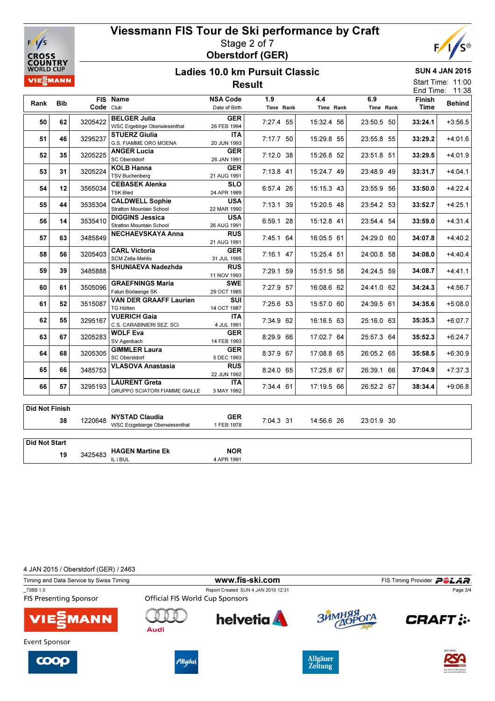



SUN 4 JAN 2015 Start Time: 11:00

#### Ladies 10.0 km Pursuit Classic Result

11:38 End Time: Rank Bib Code Club FIS Name NSA Code Date of Birth 1.9 Time Rank 4.4 Time Rank  $\overline{6}$ Time Rank Finish Time Behind<br>Time Behind  $\begin{array}{|c|c|c|c|c|}\hline \text{50} & \text{62} & \text{3205422} & \text{BELGER Julia} \hline \end{array}$ 3205422 WSC Ergebirge Oberwiesenthal 26 FEB 1994 7:27.4 55 15:32.4 56 23:50.5 50 33:24.1 +3:56.5 GER 26 FEB 1994 51 46 3295237 STUERZ Giulia 3295237 G.S. FIAMME ORO MOENA 20 JUN 1993 7:17.7 50 15:29.8 55 23:55.8 55 33:29.2 +4:01.6 **ITA**<br>20 JUN 1993 52 35 3205225 ANGER Lucia SC Oberstdorf **GER**  26 JAN 1991  $3205225 \begin{bmatrix} 0.0 & 0.01 & 0.01 & 0.01 & 0.01 & 0.01 & 0.01 & 0.01 & 0.01 & 0.01 & 0.01 & 0.01 & 0.01 & 0.01 & 0.01 & 0.01 & 0.01 & 0.01 & 0.01 & 0.01 & 0.01 & 0.01 & 0.01 & 0.01 & 0.01 & 0.01 & 0.01 & 0.01 & 0.01 & 0.01 & 0.01 & 0.01 & 0.01 & 0.01 & 0.0$ 53 31 3205224 KOLB Hanna TSV Buchenberg GER 21 AUG 1991  $3205224 \frac{1}{100} \frac{1}{100} \frac{1}{100} \frac{1}{100} \frac{1}{100} \frac{1}{100} \frac{1}{100} \frac{1}{100} \frac{1}{100} \frac{1}{100} \frac{1}{100} \frac{1}{100} \frac{1}{100} \frac{1}{100} \frac{1}{100} \frac{1}{100} \frac{1}{100} \frac{1}{100} \frac{1}{100} \frac{1}{100} \frac{1}{100} \frac{1}{100} \frac{1}{100} \frac{1}{1$ 54 12 3565034 CEBASEK Alenka TSK Bled **SLO**  24 APR 1989 <sup>3565034</sup> 6:57.4 26 15:15.3 43 23:55.9 56 33:50.0 +4:22.4 55 44 3535304 CALDWELL Sophie Stratton Mountain School USA 22 MAR 1990  $3535304 \, | \, 31.251 \, | \, 32.11 \, | \, 33.52.7 \, | \, 34.25.1 \, | \, 35.20 \, | \, 33.52.7 \, | \, 34.25.1 \, | \, 35.52.7 \, | \, 35.52.7 \, | \, 35.52.7 \, | \, 36.52.7 \, | \, 37.52.7 \, | \, 38.52.7 \, | \, 39.52.7 \, | \, 31.52.7 \, | \, 32.52.7 \, | \, 33.5$ 56 14 DIGGINS Jessica Stratton Mountain School **USA**  26 AUG 1991 3535410 6:59.1 28 15:12.8 41 23:54.4 54 33:59.0 +4:31.4 57 63 3485849 NECHAEVSKAYA Anna RUS 3485849 **34:07.8**  $\begin{bmatrix} 1 & 0 & 0 & 0 \\ 0 & 0 & 0 & 0 \\ 0 & 0 & 0 & 0 \\ 0 & 0 & 0 & 0 \\ 0 & 0 & 0 & 0 \end{bmatrix}$   $\begin{bmatrix} 24.29 & 0 & 0 & 0 \\ 0 & 24.29 & 0 & 0 & 0 \\ 0 & 0 & 0 & 0 & 0 \\ 0 & 0 & 0 & 0 & 0 \\ 0 & 0 & 0 & 0 & 0 \\ 0 & 0 & 0 & 0 & 0 \end{bmatrix}$   $\begin{bmatrix} 34.07 & 0 & 0 &$ 58 56 3205403 CARL Victoria SCM Zella-Mehlis GER 31 JUL 1995  $3205403 \left[ \begin{array}{ccc} 3205403 \end{array} \right]$   $\left[ \begin{array}{ccc} 34.08.0 \end{array} \right]$   $\left[ \begin{array}{ccc} 41.01.0 \end{array} \right]$   $\left[ \begin{array}{ccc} 34.08.0 \end{array} \right]$   $\left[ \begin{array}{ccc} 44.40.4 \end{array} \right]$ 59 39 3485888 SHUNIAEVA Nadezhda RUS  $3485888 \begin{bmatrix} 3485888 \end{bmatrix}$  11 NOV 1993  $11 \text{ NOV 1993}$   $7:29.1 \text{ } 59 \begin{bmatrix} 15:51.5 & 58 \end{bmatrix}$  24:24.5  $59 \begin{bmatrix} 34:08.7 \end{bmatrix}$  +4:41.1 60 61 3505096 GRAEFNINGS Maria Falun Borlaenge SK **SWE** 3505096 Falun Borlaenge SK 29 OCT 1985 7:27.9 57 16:08.6 62 24:41.0 62 34:24.3 +4:56.7 61 52 3515087 VAN DER GRAAFF Laurien TG Hütten **SUI**  14 OCT 1987  $3515087 \left| \right. \left| \right. \left| \right. \left| \right. \left| \right. \left| \right. \left| \right. \left| \right. \left| \right. \left| \right. \left| \right. \left| \right. \left| \right. \left| \right. \left| \right. \left| \right. \left| \right. \left| \right. \left| \right. \left| \right. \left| \right. \left| \right. \left| \right. \left| \right. \left| \right. \left| \right. \left| \right. \left| \right. \left| \right. \left| \right. \left| \right. \left| \right. \left| \right. \left| \right. \left| \right. \left|$ 62 55 3295167 VUERICH Gaia  $C \left( \begin{array}{ccc} 3295167 & 35.35.3 \ \end{array} \right|$   $C \left( \begin{array}{ccc} 1.6 & 1.6 \ \end{array} \right)$   $C \left( \begin{array}{ccc} 2.5 & 1.6 \ \end{array} \right)$   $C \left( \begin{array}{ccc} 2.5 & 1.6 \ \end{array} \right)$   $C \left( \begin{array}{ccc} 35.35.3 & +6.07.7 \ \end{array} \right)$ **ITA**<br>4 JUL 1991 63 67 3205283 WOLF Eva SV Agenbach GER 14 FEB 1993 3205283 8:29.9 66 17:02.7 64 25:57.3 64 35:52.3 +6:24.7 64 68 3205305 GIMMLER Laura SC Oberstdorf GER 5 DEC 1993 3205305 8:37.9 67 17:08.8 65 26:05.2 65 35:58.5 +6:30.9 **65 66 3485753 VLASOVA Anastasia** RUS  $3485753$   $22$  JUN 1992  $32$   $32$   $32$   $37$ :04.9  $37$ :04.9  $37$ :04.9  $37$ :37.3 66 57 3295193 LAURENT Greta 3295193 | CRUPPO SCIATORI FIAMME GIALLE 3 MAY 1992 | 7:34.4 61 | 17:19.5 66 | 26:52.2 67 | 38:34.4 +9:06.8 ITA 3 MAY 1992

| ∣ Did Not Finish |         |                                                         |                               |           |            |            |  |
|------------------|---------|---------------------------------------------------------|-------------------------------|-----------|------------|------------|--|
| 38               | 1220648 | <b>NYSTAD Claudia</b><br>WSC Erzgebierge Oberwiesenthal | <b>GER</b><br><b>FEB 1978</b> | 7:04.3 31 | 14:56.6 26 | 23:01.9 30 |  |
|                  |         |                                                         |                               |           |            |            |  |
| Did Not Start    |         |                                                         |                               |           |            |            |  |
| 19               | 3425483 | <b>HAGEN Martine Ek</b>                                 | <b>NOR</b>                    |           |            |            |  |
|                  |         | IL i BUL                                                | 4 APR 1991                    |           |            |            |  |

4 JAN 2015 / Oberstdorf (GER) / 2463

| Timing and Data Service by Swiss Timing   |                                        |                                     | FIS Timing Provider <b>POLAR</b> |                   |  |
|-------------------------------------------|----------------------------------------|-------------------------------------|----------------------------------|-------------------|--|
| 73BB 1.0<br><b>FIS Presenting Sponsor</b> | <b>Official FIS World Cup Sponsors</b> | Report Created SUN 4 JAN 2015 12:31 |                                  | Page 3/4          |  |
| <b>VIE</b> MANN                           | Audi                                   | <b>helvetia</b>                     | ЗЙМНЯЯ ОГА                       | <b>CRAFT:</b>     |  |
| Event Sponsor                             |                                        |                                     |                                  |                   |  |
| rnnn                                      | $200 - 15$                             |                                     | <b>Allgäuer</b>                  | <b>IDAS NEUEI</b> |  |

**Zeitung**